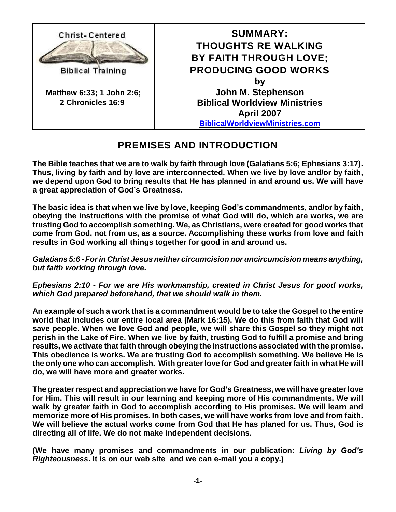

## **PREMISES AND INTRODUCTION**

**The Bible teaches that we are to walk by faith through love (Galatians 5:6; Ephesians 3:17). Thus, living by faith and by love are interconnected. When we live by love and/or by faith, we depend upon God to bring results that He has planned in and around us. We will have a great appreciation of God's Greatness.**

**The basic idea is that when we live by love, keeping God's commandments, and/or by faith, obeying the instructions with the promise of what God will do, which are works, we are trusting God to accomplish something. We, as Christians, were created for good works that come from God, not from us, as a source. Accomplishing these works from love and faith results in God working all things together for good in and around us.**

*Galatians 5:6 - For in Christ Jesus neither circumcision nor uncircumcision means anything, but faith working through love.*

*Ephesians 2:10 - For we are His workmanship, created in Christ Jesus for good works, which God prepared beforehand, that we should walk in them.*

**An example of such a work that is a commandment would be to take the Gospel to the entire world that includes our entire local area (Mark 16:15). We do this from faith that God will save people. When we love God and people, we will share this Gospel so they might not perish in the Lake of Fire. When we live by faith, trusting God to fulfill a promise and bring results, we activate that faith through obeying the instructions associated with the promise. This obedience is works. We are trusting God to accomplish something. We believe He is the only one who can accomplish. With greater love for God and greater faith in what He will do, we will have more and greater works.**

**The greaterrespect and appreciation we have for God's Greatness, we will have greater love for Him. This will result in our learning and keeping more of His commandments. We will walk by greater faith in God to accomplish according to His promises. We will learn and memorize more of His promises. In both cases, we will have works from love and from faith. We will believe the actual works come from God that He has planed for us. Thus, God is directing all of life. We do not make independent decisions.** 

**(We have many promises and commandments in our publication:** *Living by God's Righteousness***. It is on our web site and we can e-mail you a copy.)**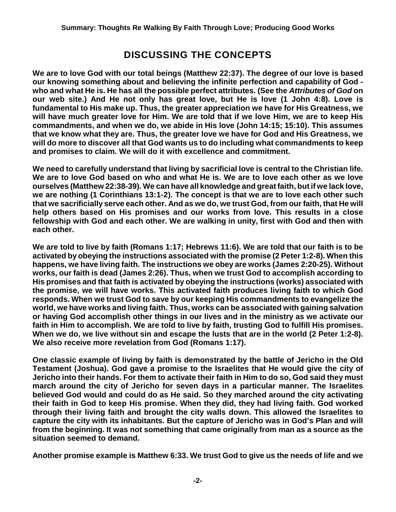## **DISCUSSING THE CONCEPTS**

**We are to love God with our total beings (Matthew 22:37). The degree of our love is based our knowing something about and believing the infinite perfection and capability of God who and what He is. He has all the possible perfect attributes. (See the** *Attributes of God* **on our web site.) And He not only has great love, but He is love (1 John 4:8). Love is fundamental to His make up. Thus, the greater appreciation we have for His Greatness, we will have much greater love for Him. We are told that if we love Him, we are to keep His commandments, and when we do, we abide in His love (John 14:15; 15:10). This assumes that we know what they are. Thus, the greater love we have for God and His Greatness, we will do more to discover all that God wants us to do including what commandments to keep and promises to claim. We will do it with excellence and commitment.**

**We need to carefully understand that living by sacrificial love is central to the Christian life. We are to love God based on who and what He is. We are to love each other as we love ourselves (Matthew 22:38-39). We can have all knowledge and great faith, but if we lack love, we are nothing (1 Corinthians 13:1-2). The concept is that we are to love each other such that we sacrificially serve each other. And as we do, we trust God, from our faith, that He will help others based on His promises and our works from love. This results in a close fellowship with God and each other. We are walking in unity, first with God and then with each other.**

**We are told to live by faith (Romans 1:17; Hebrews 11:6). We are told that our faith is to be activated by obeying the instructions associated with the promise (2 Peter 1:2-8). When this happens, we have living faith. The instructions we obey are works (James 2:20-25). Without works, our faith is dead (James 2:26). Thus, when we trust God to accomplish according to His promises and that faith is activated by obeying the instructions (works) associated with the promise, we will have works. This activated faith produces living faith to which God responds. When we trust God to save by our keeping His commandments to evangelize the world, we have works and living faith. Thus, works can be associated with gaining salvation or having God accomplish other things in our lives and in the ministry as we activate our faith in Him to accomplish. We are told to live by faith, trusting God to fulfill His promises. When we do, we live without sin and escape the lusts that are in the world (2 Peter 1:2-8). We also receive more revelation from God (Romans 1:17).**

**One classic example of living by faith is demonstrated by the battle of Jericho in the Old Testament (Joshua). God gave a promise to the Israelites that He would give the city of Jericho into their hands. For them to activate their faith in Him to do so, God said they must march around the city of Jericho for seven days in a particular manner. The Israelites believed God would and could do as He said. So they marched around the city activating their faith in God to keep His promise. When they did, they had living faith. God worked through their living faith and brought the city walls down. This allowed the Israelites to capture the city with its inhabitants. But the capture of Jericho was in God's Plan and will from the beginning. It was not something that came originally from man as a source as the situation seemed to demand.**

**Another promise example is Matthew 6:33. We trust God to give us the needs of life and we**